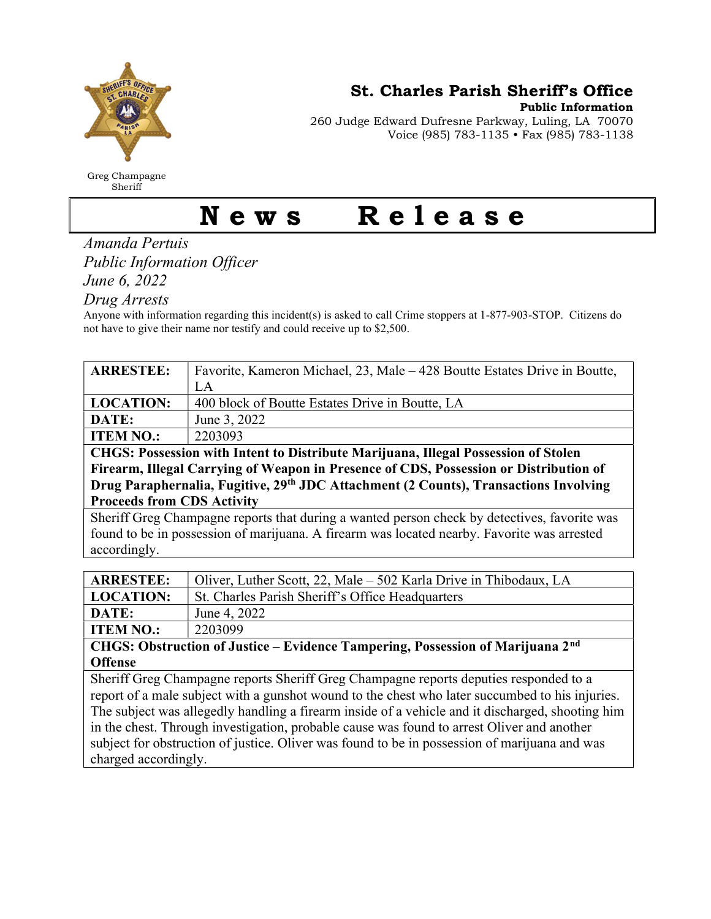

Greg Champagne Sheriff

St. Charles Parish Sheriff's Office

Public Information

260 Judge Edward Dufresne Parkway, Luling, LA 70070 Voice (985) 783-1135 • Fax (985) 783-1138

## News Release

Amanda Pertuis Public Information Officer

June 6, 2022

Drug Arrests

Anyone with information regarding this incident(s) is asked to call Crime stoppers at 1-877-903-STOP. Citizens do not have to give their name nor testify and could receive up to \$2,500.

| <b>ARRESTEE:</b>                                                                                | Favorite, Kameron Michael, 23, Male – 428 Boutte Estates Drive in Boutte, |  |
|-------------------------------------------------------------------------------------------------|---------------------------------------------------------------------------|--|
|                                                                                                 | LA                                                                        |  |
| <b>LOCATION:</b>                                                                                | 400 block of Boutte Estates Drive in Boutte, LA                           |  |
| DATE:                                                                                           | June 3, 2022                                                              |  |
| <b>ITEM NO.:</b>                                                                                | 2203093                                                                   |  |
| CHGS: Possession with Intent to Distribute Marijuana, Illegal Possession of Stolen              |                                                                           |  |
| Firearm, Illegal Carrying of Weapon in Presence of CDS, Possession or Distribution of           |                                                                           |  |
| Drug Paraphernalia, Fugitive, 29th JDC Attachment (2 Counts), Transactions Involving            |                                                                           |  |
| <b>Proceeds from CDS Activity</b>                                                               |                                                                           |  |
| Sheriff Greg Champagne reports that during a wanted person check by detectives, favorite was    |                                                                           |  |
| found to be in possession of marijuana. A firearm was located nearby. Favorite was arrested     |                                                                           |  |
| accordingly.                                                                                    |                                                                           |  |
|                                                                                                 |                                                                           |  |
| <b>ARRESTEE:</b>                                                                                | Oliver, Luther Scott, 22, Male - 502 Karla Drive in Thibodaux, LA         |  |
| <b>LOCATION:</b>                                                                                | St. Charles Parish Sheriff's Office Headquarters                          |  |
| DATE:                                                                                           | June 4, 2022                                                              |  |
| <b>ITEM NO.:</b>                                                                                | 2203099                                                                   |  |
| CHGS: Obstruction of Justice – Evidence Tampering, Possession of Marijuana 2 <sup>nd</sup>      |                                                                           |  |
| <b>Offense</b>                                                                                  |                                                                           |  |
| Sheriff Greg Champagne reports Sheriff Greg Champagne reports deputies responded to a           |                                                                           |  |
| report of a male subject with a gunshot wound to the chest who later succumbed to his injuries. |                                                                           |  |

The subject was allegedly handling a firearm inside of a vehicle and it discharged, shooting him in the chest. Through investigation, probable cause was found to arrest Oliver and another subject for obstruction of justice. Oliver was found to be in possession of marijuana and was charged accordingly.